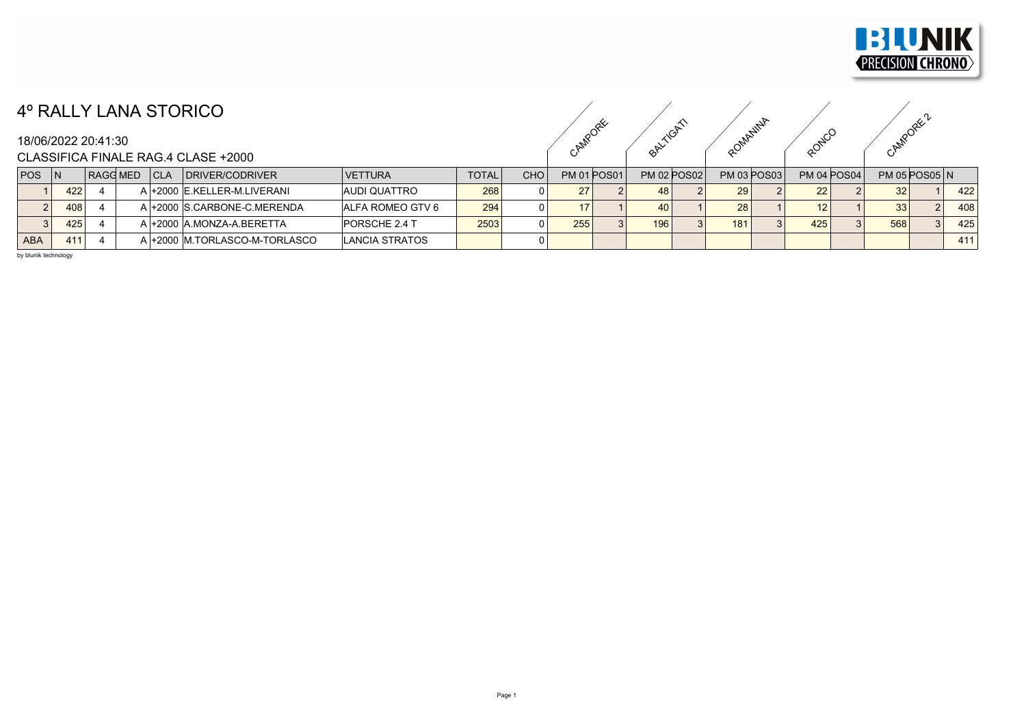

## 4º RALLY LANA STORICO

CAMPORE ORITION ROMANINA RONCO CAMPORE ?

## CLASSIFICA FINALE RAG.4 CLASE +2000

| <b>POS</b> | l N |     | RAGG MED |  | CLA | <b>IDRIVER/CODRIVER</b>        | <b>VETTURA</b>          | <b>TOTAL</b> | <b>CHO</b> |     | <b>PM 01 POS01</b> | <b>PM 02 POS02</b> |  | <b>PM 03 POS03</b> |  | <b>PM 04 POS04</b> |  | $PM$ 05 POS05 $N$ |  |     |
|------------|-----|-----|----------|--|-----|--------------------------------|-------------------------|--------------|------------|-----|--------------------|--------------------|--|--------------------|--|--------------------|--|-------------------|--|-----|
|            |     | 422 |          |  |     | A +2000 E.KELLER-M.LIVERANI    | IAUDI QUATTRO           | 268          |            | 27  |                    | 48                 |  | 29                 |  | 22                 |  | 32 <sub>1</sub>   |  | 422 |
|            |     | 408 |          |  |     | A l+2000 S.CARBONE-C.MERENDA   | <b>ALFA ROMEO GTV 6</b> | 294          |            |     |                    | 40                 |  | 28 <sub>1</sub>    |  |                    |  | 33                |  | 408 |
|            |     | 425 |          |  |     | A +2000 A.MONZA-A.BERETTA      | <b>IPORSCHE 2.4 T</b>   | 2503         |            | 255 |                    | 196                |  | 181                |  | 425                |  | 568               |  | 425 |
| <b>ABA</b> |     | 411 |          |  |     | \ +2000  M.TORLASCO-M-TORLASCO | LANCIA STRATOS          |              |            |     |                    |                    |  |                    |  |                    |  |                   |  | 411 |

by blunik technology

18/06/2022 20:41:30